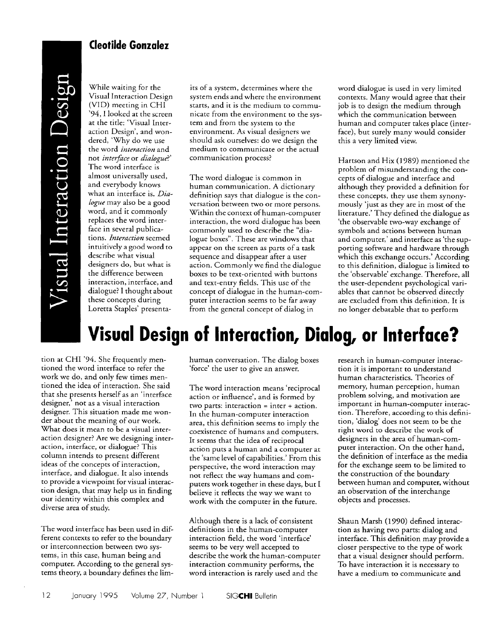## **Cleotilde Gonzalez**

Tisual Interaction Design

While waiting for the Visual Interaction Design (VID) meeting in CHI '94, I looked at the screen at the title: 'Visual Interaction Design', and wondered, 'Why do we use the word *interaction* and not *interface* or *dialogue*?' The word interface is almost universally used, and everybody knows what an interface is. *Dialogue* may also be a good word, and it commonly replaces the word interface in several publications. *Interaction* seemed intuitively a good word to describe what visual designers do, but what is the difference between interaction, interface, and dialogue? I thought about these concepts during Loretta Staples' presenta-

its of a system, determines where the system ends and where the environment starts, and it is the medium to communicate from the environment to the system and from the system to the environment. As visual designers we should ask ourselves: do we design the medium to communicate or the actual communication process?

The word dialogue is common in human communication. A dictionary definition says that dialogue is the conversation between two or more persons. Within the context o'fhuman-computer interaction, the word dialogue has been commonly used to describe the "dialogue boxes". These are windows that appear on the screen as parts of a task sequence and disappear after a user action. Commonly we find the dialogue boxes to be text-oriented with buttons and text-entry fields. This use of the concept of dialogue in the human-computer interaction seems to be far away from the general concept of dialog in

word dialogue is used in very limited contexts. Many would agree that their job is to design the medium through which the communication between human and computer takes place (interface), but surely many would consider this a very limited view.

Hartson and Hix (1989) mentioned the problem of misunderstanding the concepts of dialogue and interface and although they provided a definition for these concepts, they use them synonymously 'just as they are in most of the literature.' They defined the dialogue as 'the observable two-way exchange of symbols and actions between human and computer,' and interface as 'the supporting software and hardware through which this exchange occurs.' According to this definition, dialogue is limited to the 'observable' exchange. Therefore, all the user-dependent psychological variables that cannot be observed directly are excluded from this definition. It is no longer debatable that to perform

## **Visual Design of Interaction, Dialog, or Interface?**

tion at CHI '94. She frequently mentioned the word interface to refer the work we do, and only few times mentioned the idea of interaction. She said that she presents herself as an 'interface designer,' not as a visual interaction designer. This situation made me wonder about the meaning of our work. What does it mean to be a visual interaction designer? Are we designing interaction, interface, or dialogue? This column intends to present different ideas of the concepts of interaction, interface, and dialogue. It also intends to provide a viewpoint for visual interaction design, that may help us in finding our identity within this complex and diverse area of study.

The word interface has been used in different contexts to refer to the boundary or interconnection between two systems, in this case, human being and computer. According to the general systems theory, a boundary defines the limhuman conversation. The dialog boxes 'force' the user to give an answer.

The word interaction means 'reciprocal action or influence', and is formed by two parts: interaction = inter + action. In the human-computer interaction area, this definition seems to imply the coexistence of humans and computers. It seems that the idea of reciprocal action puts a human and a computer at the 'same level of capabilities.' From this perspective, the word interaction may not reflect the way humans and computers work together in these days, but I believe it reflects the way we want to work with the computer in the future.

Although there is a lack of consistent definitions in the human-computer interaction field, the word 'interface' seems to be very well accepted to describe the work the human-computer interaction community performs, the word interaction is rarely used and the

research in human-computer interaction it is important to understand human characteristics. Theories of memory, human perception, human problem solving, and motivation are important in human-computer interaction. Therefore, according to this definition, 'dialog' does not seem to be the right word to describe the work of designers in the area of human-computer interaction. On the other hand, the definition of interface as the media for the exchange seem to be limited to the construction of the boundary between human and computer, without an observation of the interchange objects and processes.

Shaun Marsh (1990) defined interaction as having two parts: dialog and interface. This definition may provide a closer perspective to the type of work that a visual designer should perform. To have interaction it is necessary to have a medium to communicate and